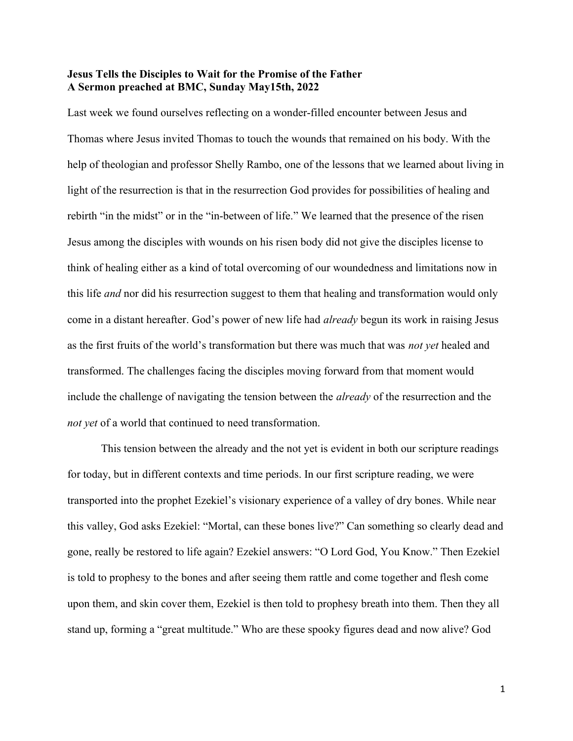## Jesus Tells the Disciples to Wait for the Promise of the Father A Sermon preached at BMC, Sunday May15th, 2022

Last week we found ourselves reflecting on a wonder-filled encounter between Jesus and Thomas where Jesus invited Thomas to touch the wounds that remained on his body. With the help of theologian and professor Shelly Rambo, one of the lessons that we learned about living in light of the resurrection is that in the resurrection God provides for possibilities of healing and rebirth "in the midst" or in the "in-between of life." We learned that the presence of the risen Jesus among the disciples with wounds on his risen body did not give the disciples license to think of healing either as a kind of total overcoming of our woundedness and limitations now in this life *and* nor did his resurrection suggest to them that healing and transformation would only come in a distant hereafter. God's power of new life had already begun its work in raising Jesus as the first fruits of the world's transformation but there was much that was *not yet* healed and transformed. The challenges facing the disciples moving forward from that moment would include the challenge of navigating the tension between the *already* of the resurrection and the not yet of a world that continued to need transformation.

 This tension between the already and the not yet is evident in both our scripture readings for today, but in different contexts and time periods. In our first scripture reading, we were transported into the prophet Ezekiel's visionary experience of a valley of dry bones. While near this valley, God asks Ezekiel: "Mortal, can these bones live?" Can something so clearly dead and gone, really be restored to life again? Ezekiel answers: "O Lord God, You Know." Then Ezekiel is told to prophesy to the bones and after seeing them rattle and come together and flesh come upon them, and skin cover them, Ezekiel is then told to prophesy breath into them. Then they all stand up, forming a "great multitude." Who are these spooky figures dead and now alive? God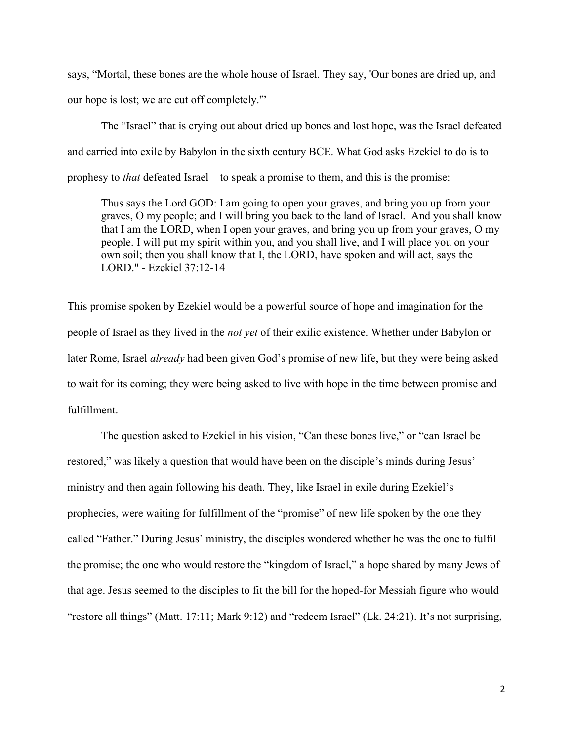says, "Mortal, these bones are the whole house of Israel. They say, 'Our bones are dried up, and our hope is lost; we are cut off completely.'"

The "Israel" that is crying out about dried up bones and lost hope, was the Israel defeated and carried into exile by Babylon in the sixth century BCE. What God asks Ezekiel to do is to prophesy to that defeated Israel – to speak a promise to them, and this is the promise:

Thus says the Lord GOD: I am going to open your graves, and bring you up from your graves, O my people; and I will bring you back to the land of Israel. And you shall know that I am the LORD, when I open your graves, and bring you up from your graves, O my people. I will put my spirit within you, and you shall live, and I will place you on your own soil; then you shall know that I, the LORD, have spoken and will act, says the LORD." - Ezekiel 37:12-14

This promise spoken by Ezekiel would be a powerful source of hope and imagination for the people of Israel as they lived in the not yet of their exilic existence. Whether under Babylon or later Rome, Israel already had been given God's promise of new life, but they were being asked to wait for its coming; they were being asked to live with hope in the time between promise and fulfillment.

The question asked to Ezekiel in his vision, "Can these bones live," or "can Israel be restored," was likely a question that would have been on the disciple's minds during Jesus' ministry and then again following his death. They, like Israel in exile during Ezekiel's prophecies, were waiting for fulfillment of the "promise" of new life spoken by the one they called "Father." During Jesus' ministry, the disciples wondered whether he was the one to fulfil the promise; the one who would restore the "kingdom of Israel," a hope shared by many Jews of that age. Jesus seemed to the disciples to fit the bill for the hoped-for Messiah figure who would "restore all things" (Matt. 17:11; Mark 9:12) and "redeem Israel" (Lk. 24:21). It's not surprising,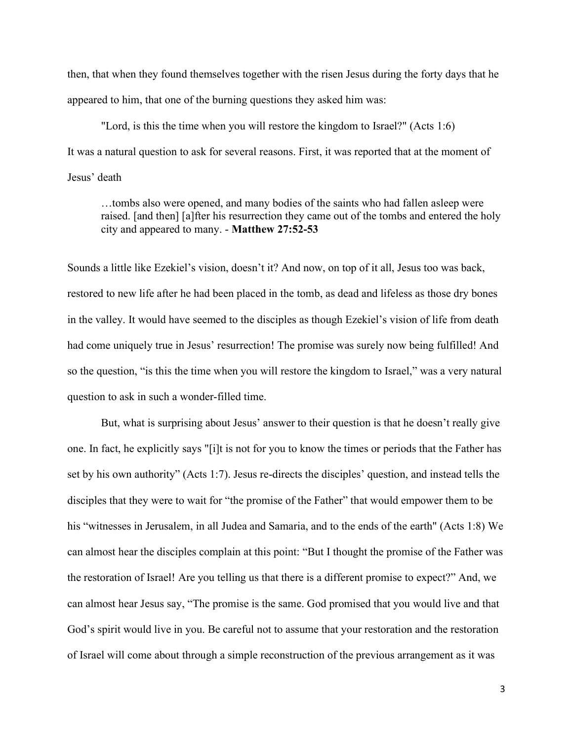then, that when they found themselves together with the risen Jesus during the forty days that he appeared to him, that one of the burning questions they asked him was:

"Lord, is this the time when you will restore the kingdom to Israel?" (Acts 1:6) It was a natural question to ask for several reasons. First, it was reported that at the moment of Jesus' death

…tombs also were opened, and many bodies of the saints who had fallen asleep were raised. [and then] [a]fter his resurrection they came out of the tombs and entered the holy city and appeared to many. - Matthew 27:52-53

Sounds a little like Ezekiel's vision, doesn't it? And now, on top of it all, Jesus too was back, restored to new life after he had been placed in the tomb, as dead and lifeless as those dry bones in the valley. It would have seemed to the disciples as though Ezekiel's vision of life from death had come uniquely true in Jesus' resurrection! The promise was surely now being fulfilled! And so the question, "is this the time when you will restore the kingdom to Israel," was a very natural question to ask in such a wonder-filled time.

But, what is surprising about Jesus' answer to their question is that he doesn't really give one. In fact, he explicitly says "[i]t is not for you to know the times or periods that the Father has set by his own authority" (Acts 1:7). Jesus re-directs the disciples' question, and instead tells the disciples that they were to wait for "the promise of the Father" that would empower them to be his "witnesses in Jerusalem, in all Judea and Samaria, and to the ends of the earth" (Acts 1:8) We can almost hear the disciples complain at this point: "But I thought the promise of the Father was the restoration of Israel! Are you telling us that there is a different promise to expect?" And, we can almost hear Jesus say, "The promise is the same. God promised that you would live and that God's spirit would live in you. Be careful not to assume that your restoration and the restoration of Israel will come about through a simple reconstruction of the previous arrangement as it was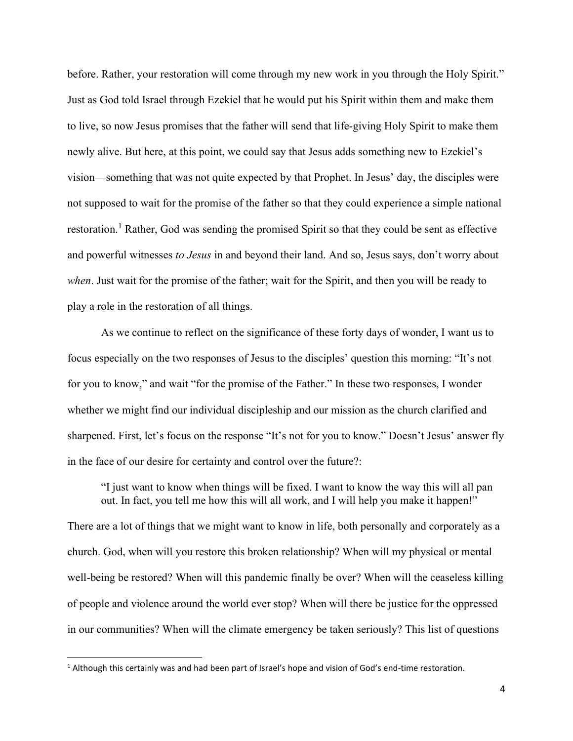before. Rather, your restoration will come through my new work in you through the Holy Spirit." Just as God told Israel through Ezekiel that he would put his Spirit within them and make them to live, so now Jesus promises that the father will send that life-giving Holy Spirit to make them newly alive. But here, at this point, we could say that Jesus adds something new to Ezekiel's vision—something that was not quite expected by that Prophet. In Jesus' day, the disciples were not supposed to wait for the promise of the father so that they could experience a simple national restoration.<sup>1</sup> Rather, God was sending the promised Spirit so that they could be sent as effective and powerful witnesses to Jesus in and beyond their land. And so, Jesus says, don't worry about when. Just wait for the promise of the father; wait for the Spirit, and then you will be ready to play a role in the restoration of all things.

As we continue to reflect on the significance of these forty days of wonder, I want us to focus especially on the two responses of Jesus to the disciples' question this morning: "It's not for you to know," and wait "for the promise of the Father." In these two responses, I wonder whether we might find our individual discipleship and our mission as the church clarified and sharpened. First, let's focus on the response "It's not for you to know." Doesn't Jesus' answer fly in the face of our desire for certainty and control over the future?:

"I just want to know when things will be fixed. I want to know the way this will all pan out. In fact, you tell me how this will all work, and I will help you make it happen!" There are a lot of things that we might want to know in life, both personally and corporately as a church. God, when will you restore this broken relationship? When will my physical or mental well-being be restored? When will this pandemic finally be over? When will the ceaseless killing of people and violence around the world ever stop? When will there be justice for the oppressed in our communities? When will the climate emergency be taken seriously? This list of questions

<sup>&</sup>lt;sup>1</sup> Although this certainly was and had been part of Israel's hope and vision of God's end-time restoration.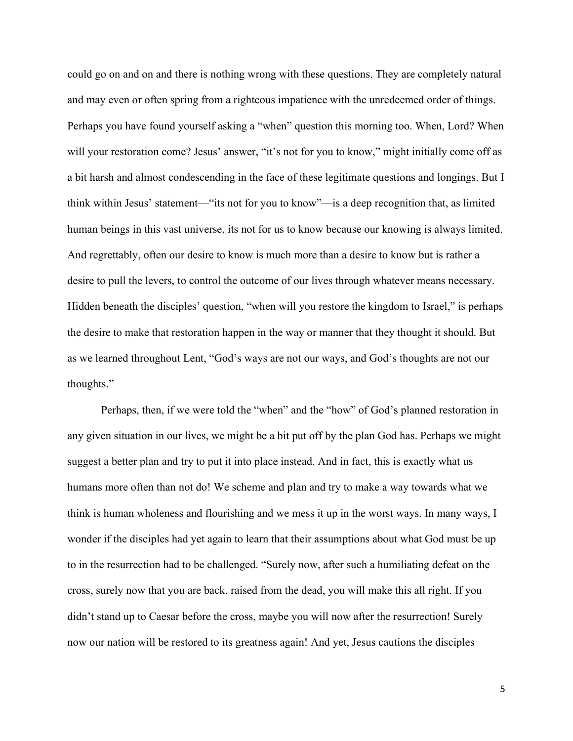could go on and on and there is nothing wrong with these questions. They are completely natural and may even or often spring from a righteous impatience with the unredeemed order of things. Perhaps you have found yourself asking a "when" question this morning too. When, Lord? When will your restoration come? Jesus' answer, "it's not for you to know," might initially come off as a bit harsh and almost condescending in the face of these legitimate questions and longings. But I think within Jesus' statement—"its not for you to know"—is a deep recognition that, as limited human beings in this vast universe, its not for us to know because our knowing is always limited. And regrettably, often our desire to know is much more than a desire to know but is rather a desire to pull the levers, to control the outcome of our lives through whatever means necessary. Hidden beneath the disciples' question, "when will you restore the kingdom to Israel," is perhaps the desire to make that restoration happen in the way or manner that they thought it should. But as we learned throughout Lent, "God's ways are not our ways, and God's thoughts are not our thoughts."

Perhaps, then, if we were told the "when" and the "how" of God's planned restoration in any given situation in our lives, we might be a bit put off by the plan God has. Perhaps we might suggest a better plan and try to put it into place instead. And in fact, this is exactly what us humans more often than not do! We scheme and plan and try to make a way towards what we think is human wholeness and flourishing and we mess it up in the worst ways. In many ways, I wonder if the disciples had yet again to learn that their assumptions about what God must be up to in the resurrection had to be challenged. "Surely now, after such a humiliating defeat on the cross, surely now that you are back, raised from the dead, you will make this all right. If you didn't stand up to Caesar before the cross, maybe you will now after the resurrection! Surely now our nation will be restored to its greatness again! And yet, Jesus cautions the disciples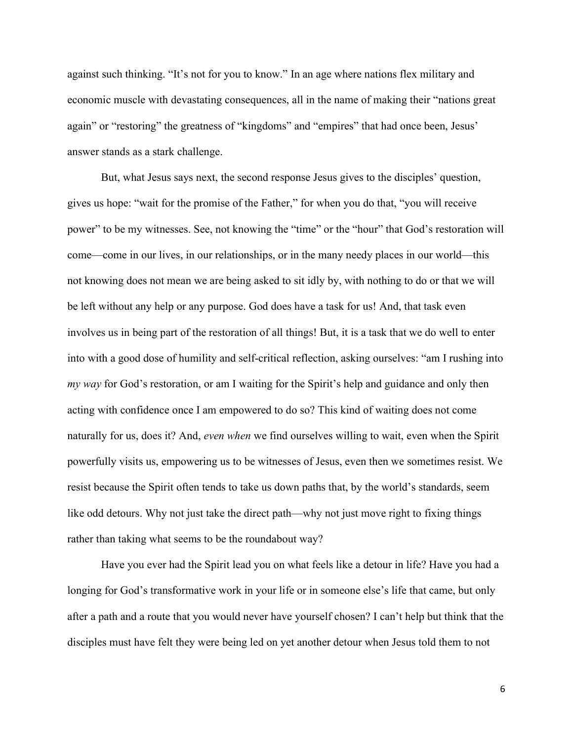against such thinking. "It's not for you to know." In an age where nations flex military and economic muscle with devastating consequences, all in the name of making their "nations great again" or "restoring" the greatness of "kingdoms" and "empires" that had once been, Jesus' answer stands as a stark challenge.

But, what Jesus says next, the second response Jesus gives to the disciples' question, gives us hope: "wait for the promise of the Father," for when you do that, "you will receive power" to be my witnesses. See, not knowing the "time" or the "hour" that God's restoration will come—come in our lives, in our relationships, or in the many needy places in our world—this not knowing does not mean we are being asked to sit idly by, with nothing to do or that we will be left without any help or any purpose. God does have a task for us! And, that task even involves us in being part of the restoration of all things! But, it is a task that we do well to enter into with a good dose of humility and self-critical reflection, asking ourselves: "am I rushing into my way for God's restoration, or am I waiting for the Spirit's help and guidance and only then acting with confidence once I am empowered to do so? This kind of waiting does not come naturally for us, does it? And, even when we find ourselves willing to wait, even when the Spirit powerfully visits us, empowering us to be witnesses of Jesus, even then we sometimes resist. We resist because the Spirit often tends to take us down paths that, by the world's standards, seem like odd detours. Why not just take the direct path—why not just move right to fixing things rather than taking what seems to be the roundabout way?

Have you ever had the Spirit lead you on what feels like a detour in life? Have you had a longing for God's transformative work in your life or in someone else's life that came, but only after a path and a route that you would never have yourself chosen? I can't help but think that the disciples must have felt they were being led on yet another detour when Jesus told them to not

6